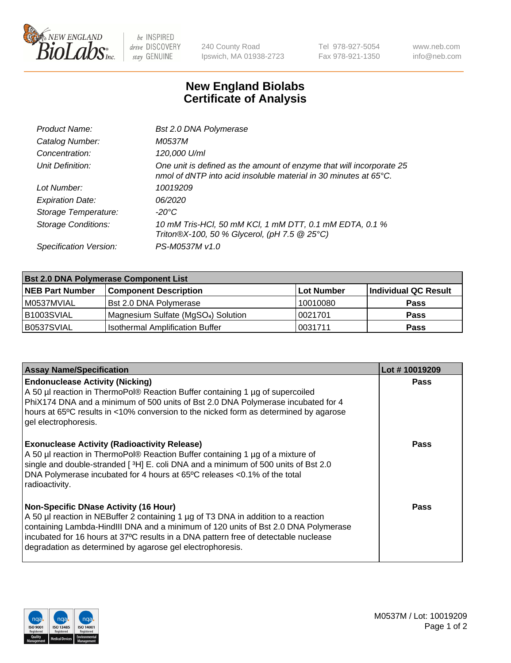

 $be$  INSPIRED drive DISCOVERY stay GENUINE

240 County Road Ipswich, MA 01938-2723 Tel 978-927-5054 Fax 978-921-1350 www.neb.com info@neb.com

## **New England Biolabs Certificate of Analysis**

| Product Name:              | <b>Bst 2.0 DNA Polymerase</b>                                                                                                            |
|----------------------------|------------------------------------------------------------------------------------------------------------------------------------------|
| Catalog Number:            | M0537M                                                                                                                                   |
| Concentration:             | 120,000 U/ml                                                                                                                             |
| Unit Definition:           | One unit is defined as the amount of enzyme that will incorporate 25<br>nmol of dNTP into acid insoluble material in 30 minutes at 65°C. |
| Lot Number:                | 10019209                                                                                                                                 |
| <b>Expiration Date:</b>    | 06/2020                                                                                                                                  |
| Storage Temperature:       | $-20^{\circ}$ C                                                                                                                          |
| <b>Storage Conditions:</b> | 10 mM Tris-HCl, 50 mM KCl, 1 mM DTT, 0.1 mM EDTA, 0.1 %<br>Triton®X-100, 50 % Glycerol, (pH 7.5 @ 25°C)                                  |
| Specification Version:     | PS-M0537M v1.0                                                                                                                           |

| <b>Bst 2.0 DNA Polymerase Component List</b> |                                                 |            |                      |  |  |
|----------------------------------------------|-------------------------------------------------|------------|----------------------|--|--|
| <b>NEB Part Number</b>                       | <b>Component Description</b>                    | Lot Number | Individual QC Result |  |  |
| M0537MVIAL                                   | <b>Bst 2.0 DNA Polymerase</b>                   | 10010080   | <b>Pass</b>          |  |  |
| B1003SVIAL                                   | Magnesium Sulfate (MgSO <sub>4</sub> ) Solution | 10021701   | <b>Pass</b>          |  |  |
| B0537SVIAL                                   | <b>Isothermal Amplification Buffer</b>          | 0031711    | <b>Pass</b>          |  |  |

| <b>Assay Name/Specification</b>                                                                                                                                                                                                                                                                                                                                              | Lot #10019209 |
|------------------------------------------------------------------------------------------------------------------------------------------------------------------------------------------------------------------------------------------------------------------------------------------------------------------------------------------------------------------------------|---------------|
| <b>Endonuclease Activity (Nicking)</b><br>A 50 µl reaction in ThermoPol® Reaction Buffer containing 1 µg of supercoiled<br>PhiX174 DNA and a minimum of 500 units of Bst 2.0 DNA Polymerase incubated for 4<br>hours at 65°C results in <10% conversion to the nicked form as determined by agarose<br>gel electrophoresis.                                                  | <b>Pass</b>   |
| <b>Exonuclease Activity (Radioactivity Release)</b><br>A 50 µl reaction in ThermoPol® Reaction Buffer containing 1 µg of a mixture of<br>single and double-stranded [3H] E. coli DNA and a minimum of 500 units of Bst 2.0<br>DNA Polymerase incubated for 4 hours at 65°C releases <0.1% of the total<br>radioactivity.                                                     | Pass          |
| <b>Non-Specific DNase Activity (16 Hour)</b><br>A 50 µl reaction in NEBuffer 2 containing 1 µg of T3 DNA in addition to a reaction<br>containing Lambda-HindIII DNA and a minimum of 120 units of Bst 2.0 DNA Polymerase<br>incubated for 16 hours at 37°C results in a DNA pattern free of detectable nuclease<br>degradation as determined by agarose gel electrophoresis. | Pass          |